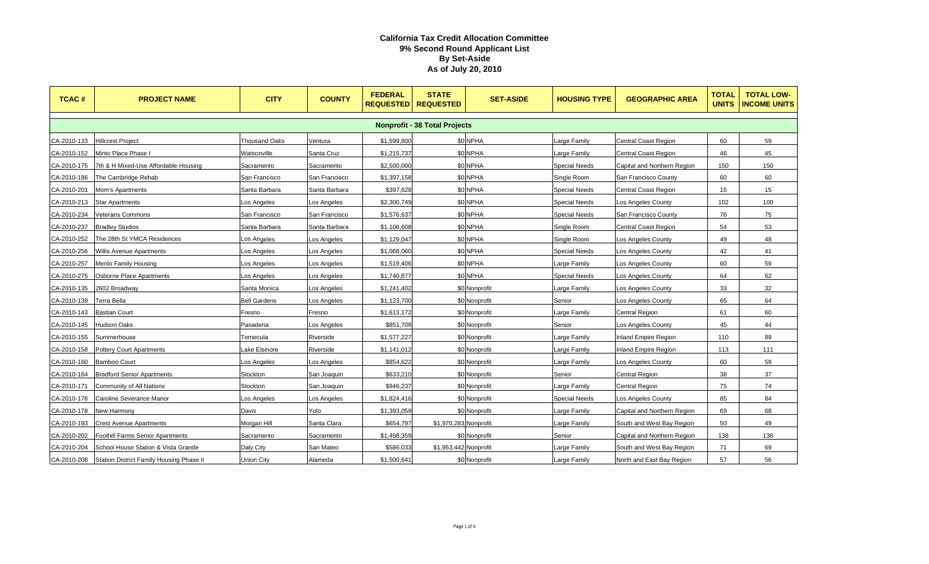| <b>TCAC#</b>                         | <b>PROJECT NAME</b>                      | <b>CITY</b>          | <b>COUNTY</b> | <b>FEDERAL</b><br><b>REQUESTED</b> | <b>STATE</b><br><b>REQUESTED</b> | <b>SET-ASIDE</b> | <b>HOUSING TYPE</b>  | <b>GEOGRAPHIC AREA</b>      | <b>TOTAL</b><br><b>UNITS</b> | <b>TOTAL LOW-</b><br><b>INCOME UNITS</b> |
|--------------------------------------|------------------------------------------|----------------------|---------------|------------------------------------|----------------------------------|------------------|----------------------|-----------------------------|------------------------------|------------------------------------------|
| <b>Nonprofit - 38 Total Projects</b> |                                          |                      |               |                                    |                                  |                  |                      |                             |                              |                                          |
| CA-2010-133                          | <b>Hillcrest Project</b>                 | <b>Thousand Oaks</b> | Ventura       | \$1,599,800                        |                                  | \$0 NPHA         | Large Family         | <b>Central Coast Region</b> | 60                           | 59                                       |
| CA-2010-152                          | Minto Place Phase                        | Watsonville          | Santa Cruz    | \$1,215,737                        |                                  | \$0 NPHA         | Large Family         | Central Coast Region        | 46                           | 45                                       |
| CA-2010-175                          | 7th & H Mixed-Use Affordable Housing     | Sacramento           | Sacramento    | \$2,500,000                        |                                  | \$0 NPHA         | <b>Special Needs</b> | Capital and Northern Region | 150                          | 150                                      |
| CA-2010-186                          | The Cambridge Rehab                      | San Francisco        | San Francisco | \$1,397,158                        |                                  | \$0 NPHA         | Single Room          | San Francisco County        | 60                           | 60                                       |
| CA-2010-201                          | Mom's Apartments                         | Santa Barbara        | Santa Barbara | \$397,628                          |                                  | \$0 NPHA         | <b>Special Needs</b> | <b>Central Coast Region</b> | 16                           | 15                                       |
| CA-2010-213                          | <b>Star Apartments</b>                   | Los Angeles          | Los Angeles   | \$2,300,749                        |                                  | \$0 NPHA         | <b>Special Needs</b> | Los Angeles County          | 102                          | 100                                      |
| CA-2010-234                          | Veterans Commons                         | San Francisco        | San Francisco | \$1,576,637                        |                                  | <b>\$0 NPHA</b>  | <b>Special Needs</b> | San Francisco County        | 76                           | 75                                       |
| CA-2010-237                          | <b>Bradley Studios</b>                   | Santa Barbara        | Santa Barbara | \$1,108,608                        |                                  | \$0 NPHA         | Single Room          | Central Coast Region        | 54                           | 53                                       |
| CA-2010-252                          | The 28th St YMCA Residences              | os Angeles           | Los Angeles   | \$1,129,047                        |                                  | \$0 NPHA         | Single Room          | Los Angeles County          | 49                           | 48                                       |
| CA-2010-256                          | <b>Willis Avenue Apartments</b>          | Los Angeles          | Los Angeles   | \$1,068,060                        |                                  | \$0 NPHA         | <b>Special Needs</b> | Los Angeles County          | 42                           | 41                                       |
| CA-2010-257                          | Menlo Family Housing                     | os Angeles           | Los Angeles   | \$1,519,406                        |                                  | \$0 NPHA         | Large Family         | Los Angeles County          | 60                           | 59                                       |
| CA-2010-275                          | <b>Osborne Place Apartments</b>          | Los Angeles          | Los Angeles   | \$1,740,877                        |                                  | \$0 NPHA         | <b>Special Needs</b> | Los Angeles County          | 64                           | 62                                       |
| CA-2010-135                          | 2602 Broadway                            | Santa Monica         | Los Angeles   | \$1,241,402                        |                                  | \$0 Nonprofit    | Large Family         | Los Angeles County          | 33                           | 32                                       |
| CA-2010-139                          | Terra Bella                              | <b>Bell Gardens</b>  | Los Angeles   | \$1,123,700                        |                                  | \$0 Nonprofit    | Senior               | Los Angeles County          | 65                           | 64                                       |
| CA-2010-143                          | <b>Bastian Court</b>                     | Fresno               | Fresno        | \$1,613,172                        |                                  | \$0 Nonprofit    | Large Family         | <b>Central Region</b>       | 61                           | 60                                       |
| CA-2010-145                          | Hudson Oaks                              | Pasadena             | _os Angeles   | \$851,708                          |                                  | \$0 Nonprofit    | Senior               | Los Angeles County          | 45                           | 44                                       |
| CA-2010-155                          | Summerhouse                              | Temecula             | Riverside     | \$1,577,227                        |                                  | \$0 Nonprofit    | Large Family         | <b>Inland Empire Region</b> | 110                          | 89                                       |
| CA-2010-158                          | Pottery Court Apartments                 | ake Elsinore         | Riverside     | \$1,141,012                        |                                  | \$0 Nonprofit    | Large Family         | <b>Inland Empire Region</b> | 113                          | 111                                      |
| CA-2010-160                          | <b>Bamboo Court</b>                      | Los Angeles          | Los Angeles   | \$854,622                          |                                  | \$0 Nonprofit    | Large Family         | Los Angeles County          | 60                           | 59                                       |
| CA-2010-164                          | <b>Bradford Senior Apartments</b>        | Stockton             | San Joaquin   | \$633,210                          |                                  | \$0 Nonprofit    | Senior               | Central Region              | 38                           | 37                                       |
| CA-2010-171                          | Community of All Nations                 | Stockton             | San Joaquin   | \$946,237                          |                                  | \$0 Nonprofit    | Large Family         | Central Region              | 75                           | 74                                       |
| CA-2010-176                          | Caroline Severance Manor                 | Los Angeles          | Los Angeles   | \$1,824,416                        |                                  | \$0 Nonprofit    | <b>Special Needs</b> | <b>Los Angeles County</b>   | 85                           | 84                                       |
| CA-2010-178                          | New Harmony                              | Davis                | Yolo          | \$1,393,059                        |                                  | \$0 Nonprofit    | Large Family         | Capital and Northern Region | 69                           | 68                                       |
| CA-2010-193                          | <b>Crest Avenue Apartments</b>           | Morgan Hill          | Santa Clara   | \$654,797                          | \$1,970,283 Nonprofit            |                  | Large Family         | South and West Bay Region   | 50                           | 49                                       |
| CA-2010-202                          | <b>Foothill Farms Senior Apartments</b>  | Sacramento           | Sacramento    | \$1,498,359                        |                                  | \$0 Nonprofit    | Senior               | Capital and Northern Region | 138                          | 136                                      |
| CA-2010-204                          | School House Station & Vista Grande      | Daly City            | San Mateo     | \$586,033                          | \$1,953,442 Nonprofit            |                  | Large Family         | South and West Bay Region   | 71                           | 69                                       |
| CA-2010-208                          | Station District Family Housing Phase II | Union City           | Alameda       | \$1,500,641                        |                                  | \$0 Nonprofit    | Large Family         | North and East Bay Region   | 57                           | 56                                       |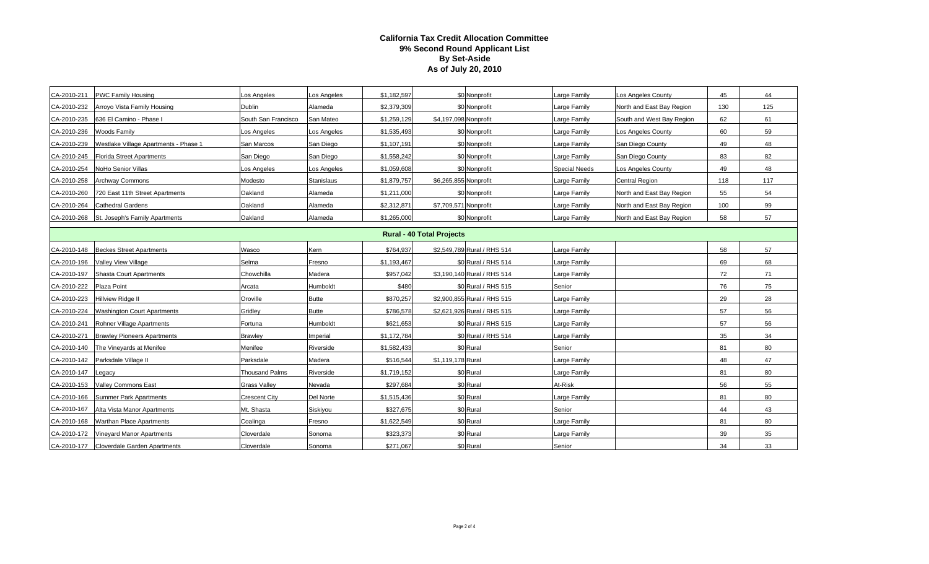| CA-2010-211                      | <b>PWC Family Housing</b>                  | os Angeles            | os Angeles        | \$1,182,597 |                       | \$0 Nonprofit               | arge Family          | Los Angeles County        | 45  | 44  |
|----------------------------------|--------------------------------------------|-----------------------|-------------------|-------------|-----------------------|-----------------------------|----------------------|---------------------------|-----|-----|
| CA-2010-232                      | Arroyo Vista Family Housing                | <b>Dublin</b>         | Alameda           | \$2,379,309 |                       | \$0 Nonprofit               | arge Family          | North and East Bay Region | 130 | 125 |
| CA-2010-235                      | 636 El Camino - Phase I                    | South San Francisco   | San Mateo         | \$1,259,129 | \$4,197,098 Nonprofit |                             | Large Family         | South and West Bay Region | 62  | 61  |
| CA-2010-236                      | <b>Woods Family</b>                        | os Angeles            | Los Angeles       | \$1,535,493 |                       | \$0 Nonprofit               | Large Family         | Los Angeles County        | 60  | 59  |
| CA-2010-239                      | Westlake Village Apartments - Phase 1      | San Marcos            | San Diego         | \$1,107,191 |                       | \$0 Nonprofit               | Large Family         | San Diego County          | 49  | 48  |
| CA-2010-245                      | <b>Florida Street Apartments</b>           | San Diego             | San Diego         | \$1,558,242 |                       | \$0 Nonprofit               | Large Family         | San Diego County          | 83  | 82  |
| CA-2010-254                      | NoHo Senior Villas                         | os Angeles            | Los Angeles       | \$1,059,608 |                       | \$0 Nonprofit               | <b>Special Needs</b> | Los Angeles County        | 49  | 48  |
| CA-2010-258                      | <b>Archway Commons</b>                     | Modesto               | <b>Stanislaus</b> | \$1,879,757 | \$6,265,855 Nonprofit |                             | Large Family         | Central Region            | 118 | 117 |
| CA-2010-260                      | 720 East 11th Street Apartments            | Oakland               | Alameda           | \$1,211,000 |                       | \$0 Nonprofit               | arge Family          | North and East Bay Region | 55  | 54  |
| CA-2010-264                      | <b>Cathedral Gardens</b>                   | Oakland               | Alameda           | \$2,312,871 | \$7,709,571 Nonprofit |                             | Large Family         | North and East Bay Region | 100 | 99  |
|                                  | CA-2010-268 St. Joseph's Family Apartments | Oakland               | Alameda           | \$1,265,000 |                       | \$0 Nonprofit               | Large Family         | North and East Bay Region | 58  | 57  |
| <b>Rural - 40 Total Projects</b> |                                            |                       |                   |             |                       |                             |                      |                           |     |     |
|                                  |                                            |                       |                   |             |                       |                             |                      |                           |     |     |
| CA-2010-148                      | <b>Beckes Street Apartments</b>            | Wasco                 | Kern              | \$764,937   |                       | \$2,549,789 Rural / RHS 514 | Large Family         |                           | 58  | 57  |
| CA-2010-196                      | Valley View Village                        | Selma                 | Fresno            | \$1,193,467 |                       | \$0 Rural / RHS 514         | Large Family         |                           | 69  | 68  |
| CA-2010-197                      | Shasta Court Apartments                    | Chowchilla            | Madera            | \$957,042   |                       | \$3,190,140 Rural / RHS 514 | Large Family         |                           | 72  | 71  |
| CA-2010-222                      | Plaza Point                                | Arcata                | Humboldt          | \$480       |                       | \$0 Rural / RHS 515         | Senior               |                           | 76  | 75  |
| CA-2010-223                      | Hillview Ridge II                          | Oroville              | <b>Butte</b>      | \$870,257   |                       | \$2,900,855 Rural / RHS 515 | Large Family         |                           | 29  | 28  |
| CA-2010-224                      | <b>Washington Court Apartments</b>         | Gridley               | <b>Butte</b>      | \$786,578   |                       | \$2,621,926 Rural / RHS 515 | Large Family         |                           | 57  | 56  |
| CA-2010-241                      | Rohner Village Apartments                  | Fortuna               | Humboldt          | \$621.653   |                       | \$0 Rural / RHS 515         | Large Family         |                           | 57  | 56  |
| CA-2010-271                      | <b>Brawley Pioneers Apartments</b>         | <b>Brawley</b>        | mperial           | \$1,172,784 |                       | \$0 Rural / RHS 514         | Large Family         |                           | 35  | 34  |
| CA-2010-140                      | The Vineyards at Menifee                   | Menifee               | Riverside         | \$1,582,433 |                       | \$0 Rural                   | Senior               |                           | 81  | 80  |
| CA-2010-142                      | Parksdale Village II                       | Parksdale             | Madera            | \$516,544   | \$1,119,178 Rural     |                             | arge Family          |                           | 48  | 47  |
| CA-2010-147                      | Legacy                                     | <b>Thousand Palms</b> | Riverside         | \$1,719,152 |                       | \$0 Rural                   | Large Family         |                           | 81  | 80  |
| CA-2010-153                      | <b>Valley Commons East</b>                 | <b>Grass Valley</b>   | Nevada            | \$297,684   |                       | \$0 Rural                   | At-Risk              |                           | 56  | 55  |
| CA-2010-166                      | Summer Park Apartments                     | <b>Crescent City</b>  | <b>Del Norte</b>  | \$1,515,436 |                       | \$0 Rural                   | Large Family         |                           | 81  | 80  |
| CA-2010-167                      | Alta Vista Manor Apartments                | Mt. Shasta            | Siskiyou          | \$327,675   |                       | \$0 Rural                   | Senior               |                           | 44  | 43  |
| CA-2010-168                      | <b>Warthan Place Apartments</b>            | Coalinga              | Fresno            | \$1,622,549 |                       | \$0 Rural                   | Large Family         |                           | 81  | 80  |
| CA-2010-172                      | <b>Vinevard Manor Apartments</b>           | Cloverdale            | Sonoma            | \$323,373   |                       | \$0 Rural                   | Large Family         |                           | 39  | 35  |
| CA-2010-177                      | <b>Cloverdale Garden Apartments</b>        | Cloverdale            | Sonoma            | \$271,067   |                       | \$0 Rural                   | Senior               |                           | 34  | 33  |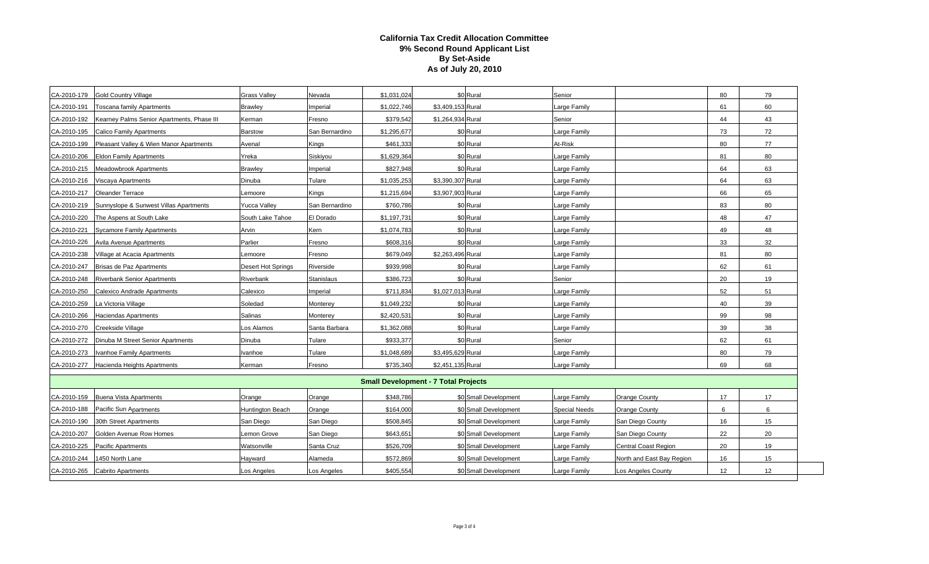| CA-2010-179                                 | <b>Gold Country Village</b>                | <b>Grass Valley</b>       | Nevada         | \$1,031,024 |                   | \$0 Rural             | Senior               |                             | 80 | 79 |
|---------------------------------------------|--------------------------------------------|---------------------------|----------------|-------------|-------------------|-----------------------|----------------------|-----------------------------|----|----|
| CA-2010-191                                 | <b>Toscana family Apartments</b>           | <b>Brawley</b>            | Imperial       | \$1,022,746 | \$3,409,153 Rural |                       | Large Family         |                             | 61 | 60 |
| CA-2010-192                                 | Kearney Palms Senior Apartments, Phase III | Kerman                    | Fresno         | \$379,542   | \$1,264,934 Rural |                       | Senior               |                             | 44 | 43 |
| CA-2010-195                                 | Calico Family Apartments                   | <b>Barstow</b>            | San Bernardino | \$1,295,677 |                   | \$0 Rural             | Large Family         |                             | 73 | 72 |
| CA-2010-199                                 | Pleasant Valley & Wien Manor Apartments    | Avenal                    | Kings          | \$461,333   |                   | \$0 Rural             | At-Risk              |                             | 80 | 77 |
| CA-2010-206                                 | <b>Eldon Family Apartments</b>             | Yreka                     | Siskiyou       | \$1,629,364 |                   | \$0 Rural             | Large Family         |                             | 81 | 80 |
| CA-2010-215                                 | <b>Meadowbrook Apartments</b>              | <b>Brawley</b>            | Imperial       | \$827,948   |                   | \$0 Rural             | Large Family         |                             | 64 | 63 |
| CA-2010-216                                 | Viscaya Apartments                         | Dinuba                    | Tulare         | \$1,035,253 | \$3,390,307 Rural |                       | Large Family         |                             | 64 | 63 |
| CA-2010-217                                 | <b>Oleander Terrace</b>                    | Lemoore                   | Kings          | \$1,215,694 | \$3,907,903 Rural |                       | Large Family         |                             | 66 | 65 |
| CA-2010-219                                 | Sunnyslope & Sunwest Villas Apartments     | <b>Yucca Valley</b>       | San Bernardino | \$760,786   |                   | \$0 Rural             | Large Family         |                             | 83 | 80 |
| CA-2010-220                                 | The Aspens at South Lake                   | South Lake Tahoe          | El Dorado      | \$1,197,731 |                   | \$0 Rural             | Large Family         |                             | 48 | 47 |
| CA-2010-221                                 | <b>Sycamore Family Apartments</b>          | Arvin                     | Kern           | \$1,074,783 |                   | \$0 Rural             | Large Family         |                             | 49 | 48 |
| CA-2010-226                                 | <b>Avila Avenue Apartments</b>             | Parlier                   | Fresno         | \$608,316   |                   | \$0 Rural             | Large Family         |                             | 33 | 32 |
| CA-2010-238                                 | Village at Acacia Apartments               | Lemoore                   | Fresno         | \$679,049   | \$2,263,496 Rural |                       | Large Family         |                             | 81 | 80 |
| CA-2010-247                                 | Brisas de Paz Apartments                   | <b>Desert Hot Springs</b> | Riverside      | \$939,998   |                   | \$0 Rural             | Large Family         |                             | 62 | 61 |
| CA-2010-248                                 | <b>Riverbank Senior Apartments</b>         | Riverbank                 | Stanislaus     | \$386,723   |                   | \$0 Rural             | Senior               |                             | 20 | 19 |
| CA-2010-250                                 | Calexico Andrade Apartments                | Calexico                  | Imperial       | \$711,834   | \$1,027,013 Rural |                       | Large Family         |                             | 52 | 51 |
| CA-2010-259                                 | La Victoria Village                        | Soledad                   | Monterey       | \$1,049,232 |                   | \$0 Rural             | Large Family         |                             | 40 | 39 |
| CA-2010-266                                 | <b>Haciendas Apartments</b>                | <b>Salinas</b>            | Monterey       | \$2,420,531 |                   | \$0 Rural             | Large Family         |                             | 99 | 98 |
| CA-2010-270                                 | Creekside Village                          | Los Alamos                | Santa Barbara  | \$1,362,088 |                   | \$0 Rural             | Large Family         |                             | 39 | 38 |
| CA-2010-272                                 | Dinuba M Street Senior Apartments          | Dinuba                    | Tulare         | \$933,377   |                   | \$0 Rural             | Senior               |                             | 62 | 61 |
| CA-2010-273                                 | vanhoe Family Apartments                   | Ivanhoe                   | Tulare         | \$1,048,689 | \$3,495,629 Rural |                       | Large Family         |                             | 80 | 79 |
| CA-2010-277                                 | Hacienda Heights Apartments                | Kerman                    | Fresno         | \$735,340   | \$2,451,135 Rural |                       | Large Family         |                             | 69 | 68 |
| <b>Small Development - 7 Total Projects</b> |                                            |                           |                |             |                   |                       |                      |                             |    |    |
| CA-2010-159                                 | <b>Buena Vista Apartments</b>              | Orange                    | Orange         | \$348,786   |                   | \$0 Small Development | Large Family         | Orange County               | 17 | 17 |
| CA-2010-188                                 | Pacific Sun Apartments                     | <b>Huntington Beach</b>   | Orange         | \$164,000   |                   | \$0 Small Development | <b>Special Needs</b> | <b>Orange County</b>        | 6  | 6  |
| CA-2010-190                                 | 30th Street Apartments                     | San Diego                 | San Diego      | \$508,845   |                   | \$0 Small Development | Large Family         | San Diego County            | 16 | 15 |
| CA-2010-207                                 | Golden Avenue Row Homes                    | Lemon Grove               | San Diego      | \$643,651   |                   | \$0 Small Development | Large Family         | San Diego County            | 22 | 20 |
| CA-2010-225                                 | <b>Pacific Apartments</b>                  | Watsonville               | Santa Cruz     | \$526,709   |                   | \$0 Small Development | Large Family         | <b>Central Coast Region</b> | 20 | 19 |
| CA-2010-244                                 | 1450 North Lane                            | Hayward                   | Alameda        | \$572,869   |                   | \$0 Small Development | arge Family          | North and East Bay Region   | 16 | 15 |
| CA-2010-265                                 | <b>Cabrito Apartments</b>                  | Los Angeles               | Los Angeles    | \$405,554   |                   | \$0 Small Development | Large Family         | Los Angeles County          | 12 | 12 |